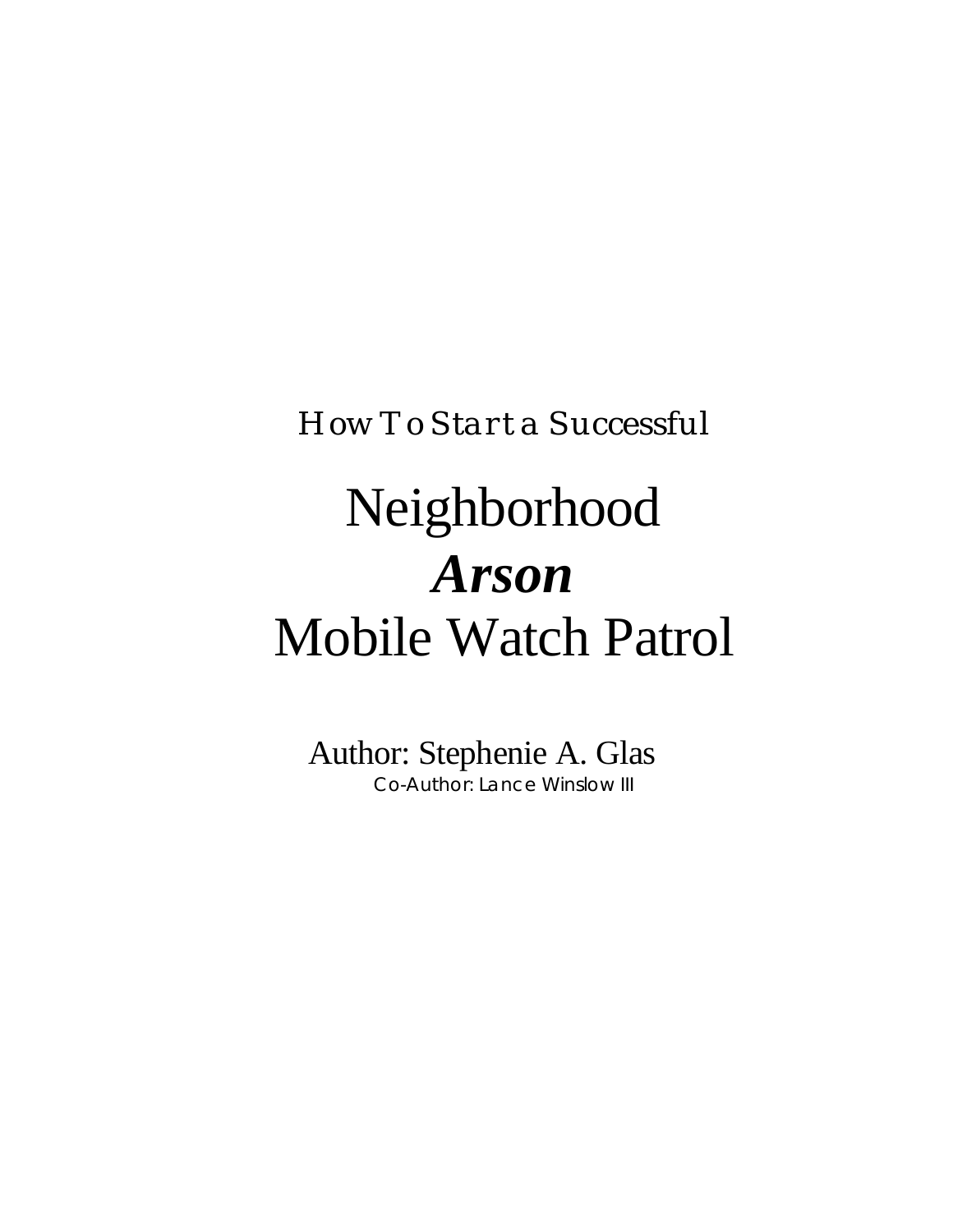*How To Start a Successful*

# Neighborhood *Arson* Mobile Watch Patrol

Author: Stephenie A. Glas Co-Author: Lance Winslow III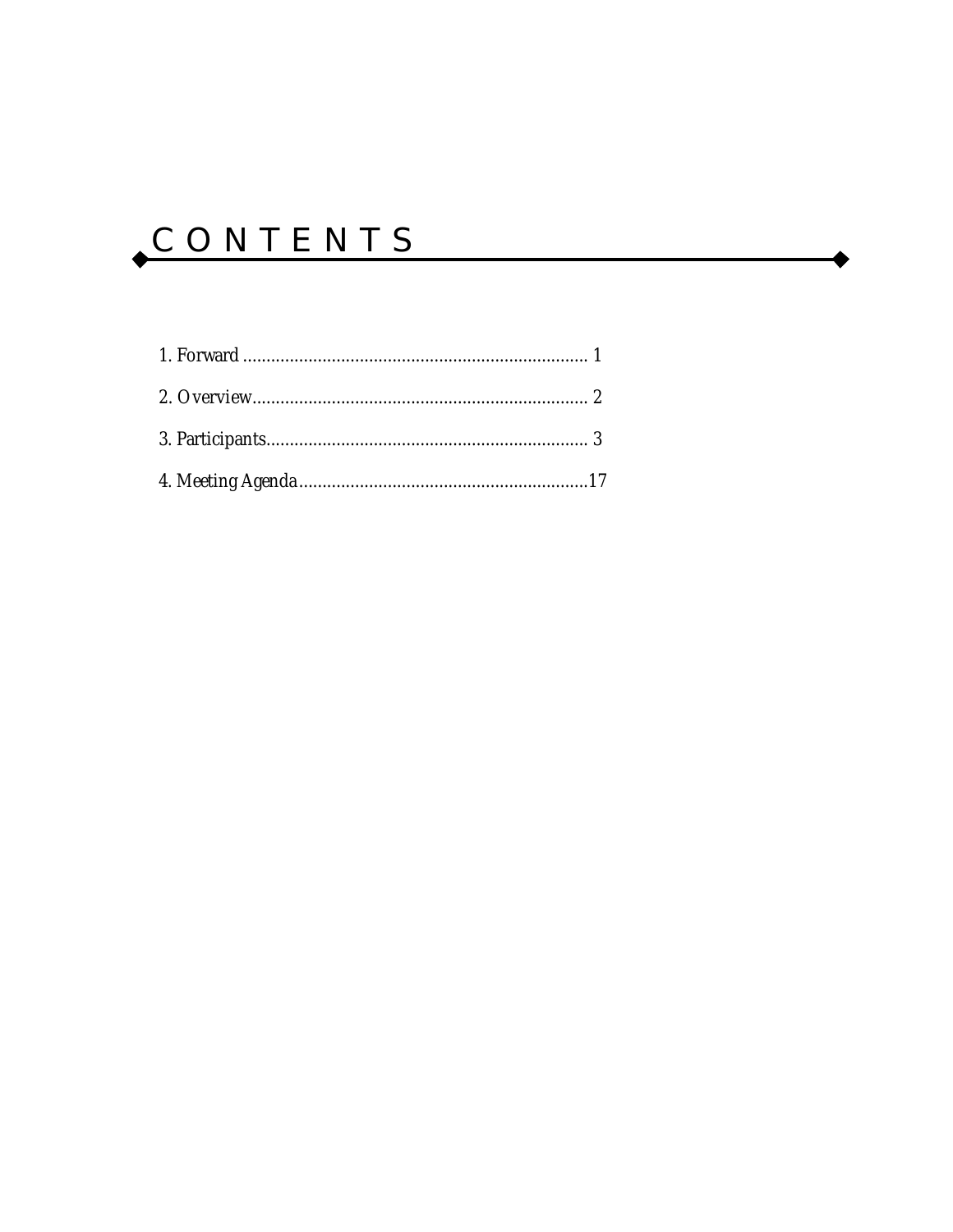## CONTENTS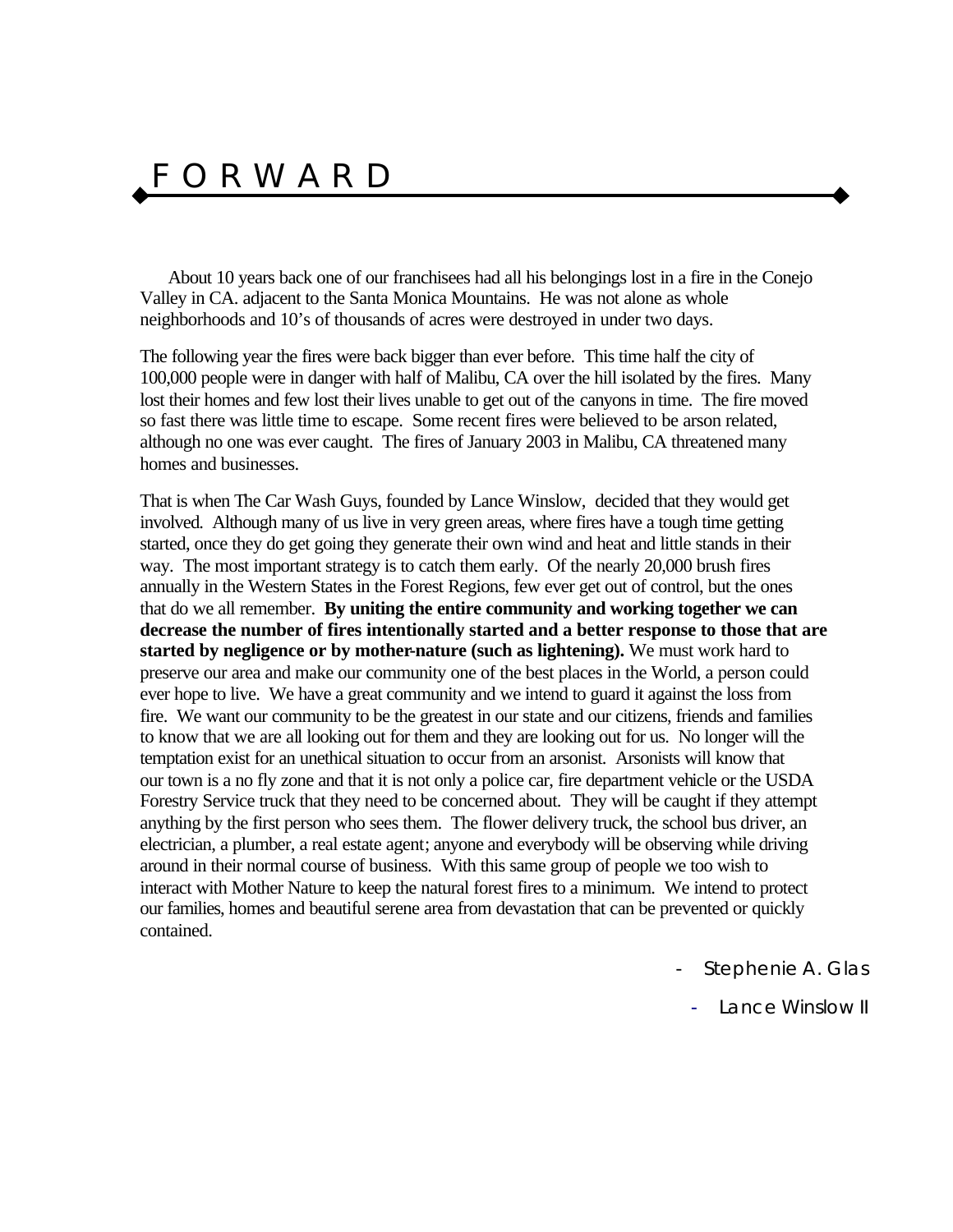### F O R W A R D

About 10 years back one of our franchisees had all his belongings lost in a fire in the Conejo Valley in CA. adjacent to the Santa Monica Mountains. He was not alone as whole neighborhoods and 10's of thousands of acres were destroyed in under two days.

The following year the fires were back bigger than ever before. This time half the city of 100,000 people were in danger with half of Malibu, CA over the hill isolated by the fires. Many lost their homes and few lost their lives unable to get out of the canyons in time. The fire moved so fast there was little time to escape. Some recent fires were believed to be arson related, although no one was ever caught. The fires of January 2003 in Malibu, CA threatened many homes and businesses.

That is when The Car Wash Guys, founded by Lance Winslow, decided that they would get involved. Although many of us live in very green areas, where fires have a tough time getting started, once they do get going they generate their own wind and heat and little stands in their way. The most important strategy is to catch them early. Of the nearly 20,000 brush fires annually in the Western States in the Forest Regions, few ever get out of control, but the ones that do we all remember. **By uniting the entire community and working together we can decrease the number of fires intentionally started and a better response to those that are started by negligence or by mother-nature (such as lightening).** We must work hard to preserve our area and make our community one of the best places in the World, a person could ever hope to live. We have a great community and we intend to guard it against the loss from fire. We want our community to be the greatest in our state and our citizens, friends and families to know that we are all looking out for them and they are looking out for us. No longer will the temptation exist for an unethical situation to occur from an arsonist. Arsonists will know that our town is a no fly zone and that it is not only a police car, fire department vehicle or the USDA Forestry Service truck that they need to be concerned about. They will be caught if they attempt anything by the first person who sees them. The flower delivery truck, the school bus driver, an electrician, a plumber, a real estate agent; anyone and everybody will be observing while driving around in their normal course of business. With this same group of people we too wish to interact with Mother Nature to keep the natural forest fires to a minimum. We intend to protect our families, homes and beautiful serene area from devastation that can be prevented or quickly contained.

- *Stephenie A. Glas*

- *Lance Winslow II*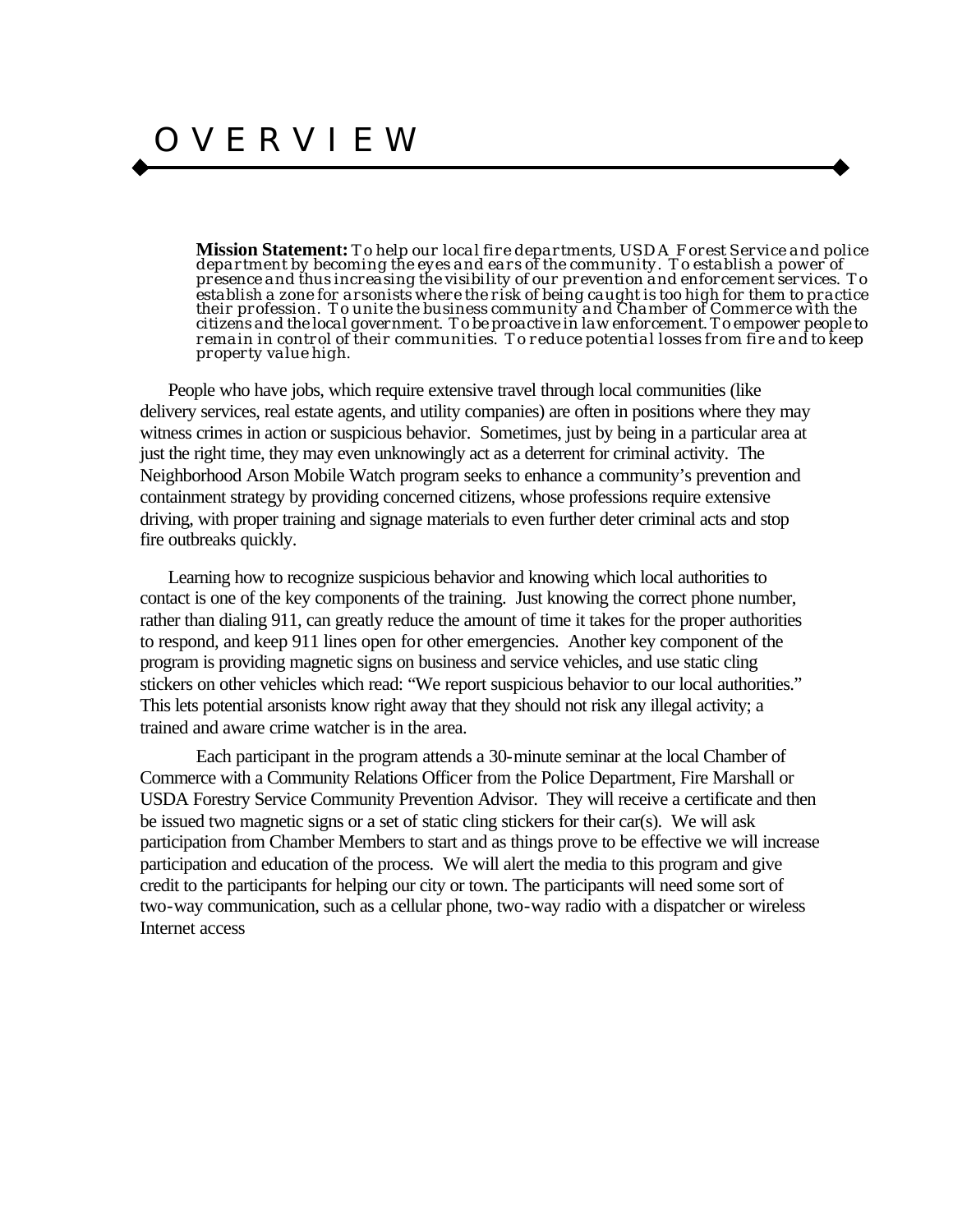**Mission Statement:** *To help our local fire departments, USDA Forest Service and police department by becoming the eyes and ears of the community. To establish a power of presence and thus increasing the visibility of our prevention and enforcement services. To establish a zone for arsonists where the risk of being caught is too high for them to practice their profession. To unite the business community and Chamber of Commerce with the citizens and the local government. To be proactive in law enforcement. To empower people to remain in control of their communities. To reduce potential losses from fire and to keep property value high.*

People who have jobs, which require extensive travel through local communities (like delivery services, real estate agents, and utility companies) are often in positions where they may witness crimes in action or suspicious behavior. Sometimes, just by being in a particular area at just the right time, they may even unknowingly act as a deterrent for criminal activity. The Neighborhood Arson Mobile Watch program seeks to enhance a community's prevention and containment strategy by providing concerned citizens, whose professions require extensive driving, with proper training and signage materials to even further deter criminal acts and stop fire outbreaks quickly.

Learning how to recognize suspicious behavior and knowing which local authorities to contact is one of the key components of the training. Just knowing the correct phone number, rather than dialing 911, can greatly reduce the amount of time it takes for the proper authorities to respond, and keep 911 lines open for other emergencies. Another key component of the program is providing magnetic signs on business and service vehicles, and use static cling stickers on other vehicles which read: "We report suspicious behavior to our local authorities." This lets potential arsonists know right away that they should not risk any illegal activity; a trained and aware crime watcher is in the area.

Each participant in the program attends a 30-minute seminar at the local Chamber of Commerce with a Community Relations Officer from the Police Department, Fire Marshall or USDA Forestry Service Community Prevention Advisor. They will receive a certificate and then be issued two magnetic signs or a set of static cling stickers for their car(s). We will ask participation from Chamber Members to start and as things prove to be effective we will increase participation and education of the process. We will alert the media to this program and give credit to the participants for helping our city or town. The participants will need some sort of two-way communication, such as a cellular phone, two-way radio with a dispatcher or wireless Internet access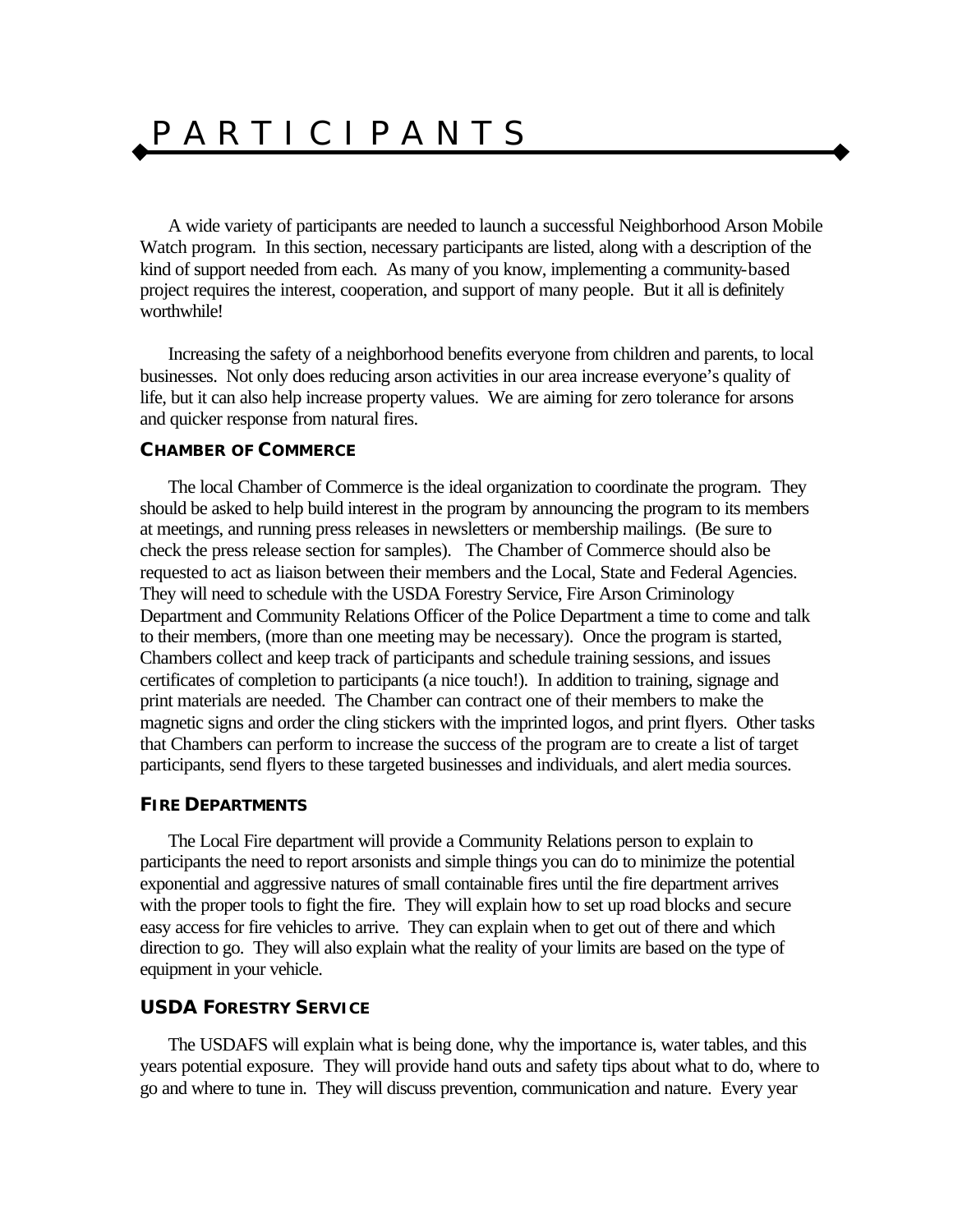## P A R T I C I P A N T S

A wide variety of participants are needed to launch a successful Neighborhood Arson Mobile Watch program. In this section, necessary participants are listed, along with a description of the kind of support needed from each. As many of you know, implementing a community-based project requires the interest, cooperation, and support of many people. But it all is definitely worthwhile!

Increasing the safety of a neighborhood benefits everyone from children and parents, to local businesses. Not only does reducing arson activities in our area increase everyone's quality of life, but it can also help increase property values. We are aiming for zero tolerance for arsons and quicker response from natural fires.

#### **CHAMBER OF COMMERCE**

The local Chamber of Commerce is the ideal organization to coordinate the program. They should be asked to help build interest in the program by announcing the program to its members at meetings, and running press releases in newsletters or membership mailings. (Be sure to check the press release section for samples). The Chamber of Commerce should also be requested to act as liaison between their members and the Local, State and Federal Agencies. They will need to schedule with the USDA Forestry Service, Fire Arson Criminology Department and Community Relations Officer of the Police Department a time to come and talk to their members, (more than one meeting may be necessary). Once the program is started, Chambers collect and keep track of participants and schedule training sessions, and issues certificates of completion to participants (a nice touch!). In addition to training, signage and print materials are needed. The Chamber can contract one of their members to make the magnetic signs and order the cling stickers with the imprinted logos, and print flyers. Other tasks that Chambers can perform to increase the success of the program are to create a list of target participants, send flyers to these targeted businesses and individuals, and alert media sources.

#### **FIRE DEPARTMENTS**

The Local Fire department will provide a Community Relations person to explain to participants the need to report arsonists and simple things you can do to minimize the potential exponential and aggressive natures of small containable fires until the fire department arrives with the proper tools to fight the fire. They will explain how to set up road blocks and secure easy access for fire vehicles to arrive. They can explain when to get out of there and which direction to go. They will also explain what the reality of your limits are based on the type of equipment in your vehicle.

#### **USDA FORESTRY SERVICE**

The USDAFS will explain what is being done, why the importance is, water tables, and this years potential exposure. They will provide hand outs and safety tips about what to do, where to go and where to tune in. They will discuss prevention, communication and nature. Every year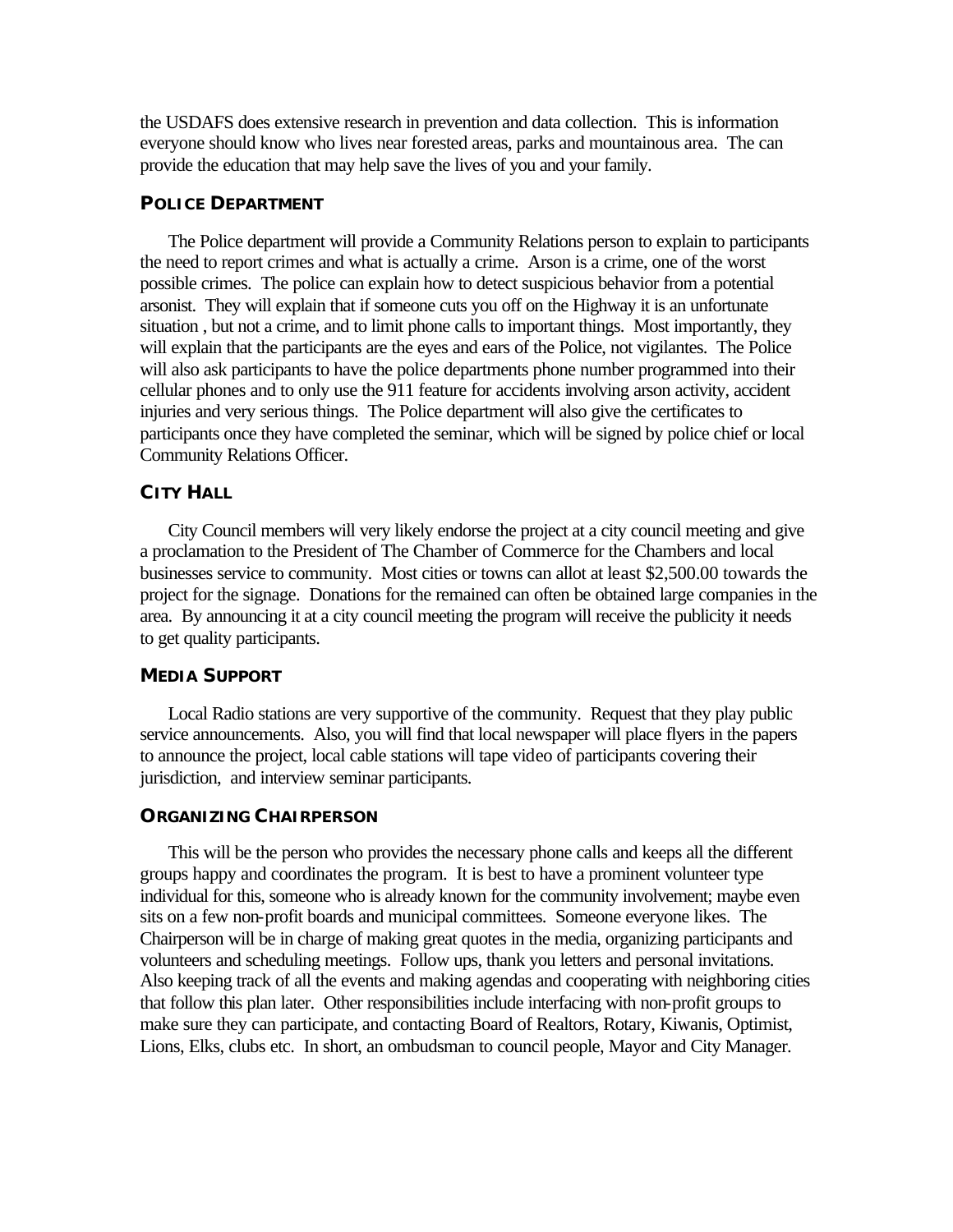the USDAFS does extensive research in prevention and data collection. This is information everyone should know who lives near forested areas, parks and mountainous area. The can provide the education that may help save the lives of you and your family.

#### **POLICE DEPARTMENT**

The Police department will provide a Community Relations person to explain to participants the need to report crimes and what is actually a crime. Arson is a crime, one of the worst possible crimes. The police can explain how to detect suspicious behavior from a potential arsonist. They will explain that if someone cuts you off on the Highway it is an unfortunate situation, but not a crime, and to limit phone calls to important things. Most importantly, they will explain that the participants are the eyes and ears of the Police, not vigilantes. The Police will also ask participants to have the police departments phone number programmed into their cellular phones and to only use the 911 feature for accidents involving arson activity, accident injuries and very serious things. The Police department will also give the certificates to participants once they have completed the seminar, which will be signed by police chief or local Community Relations Officer.

#### **CITY HALL**

City Council members will very likely endorse the project at a city council meeting and give a proclamation to the President of The Chamber of Commerce for the Chambers and local businesses service to community. Most cities or towns can allot at least \$2,500.00 towards the project for the signage. Donations for the remained can often be obtained large companies in the area. By announcing it at a city council meeting the program will receive the publicity it needs to get quality participants.

#### **MEDIA SUPPORT**

Local Radio stations are very supportive of the community. Request that they play public service announcements. Also, you will find that local newspaper will place flyers in the papers to announce the project, local cable stations will tape video of participants covering their jurisdiction, and interview seminar participants.

#### **ORGANIZING CHAIRPERSON**

This will be the person who provides the necessary phone calls and keeps all the different groups happy and coordinates the program. It is best to have a prominent volunteer type individual for this, someone who is already known for the community involvement; maybe even sits on a few non-profit boards and municipal committees. Someone everyone likes. The Chairperson will be in charge of making great quotes in the media, organizing participants and volunteers and scheduling meetings. Follow ups, thank you letters and personal invitations. Also keeping track of all the events and making agendas and cooperating with neighboring cities that follow this plan later. Other responsibilities include interfacing with non-profit groups to make sure they can participate, and contacting Board of Realtors, Rotary, Kiwanis, Optimist, Lions, Elks, clubs etc. In short, an ombudsman to council people, Mayor and City Manager.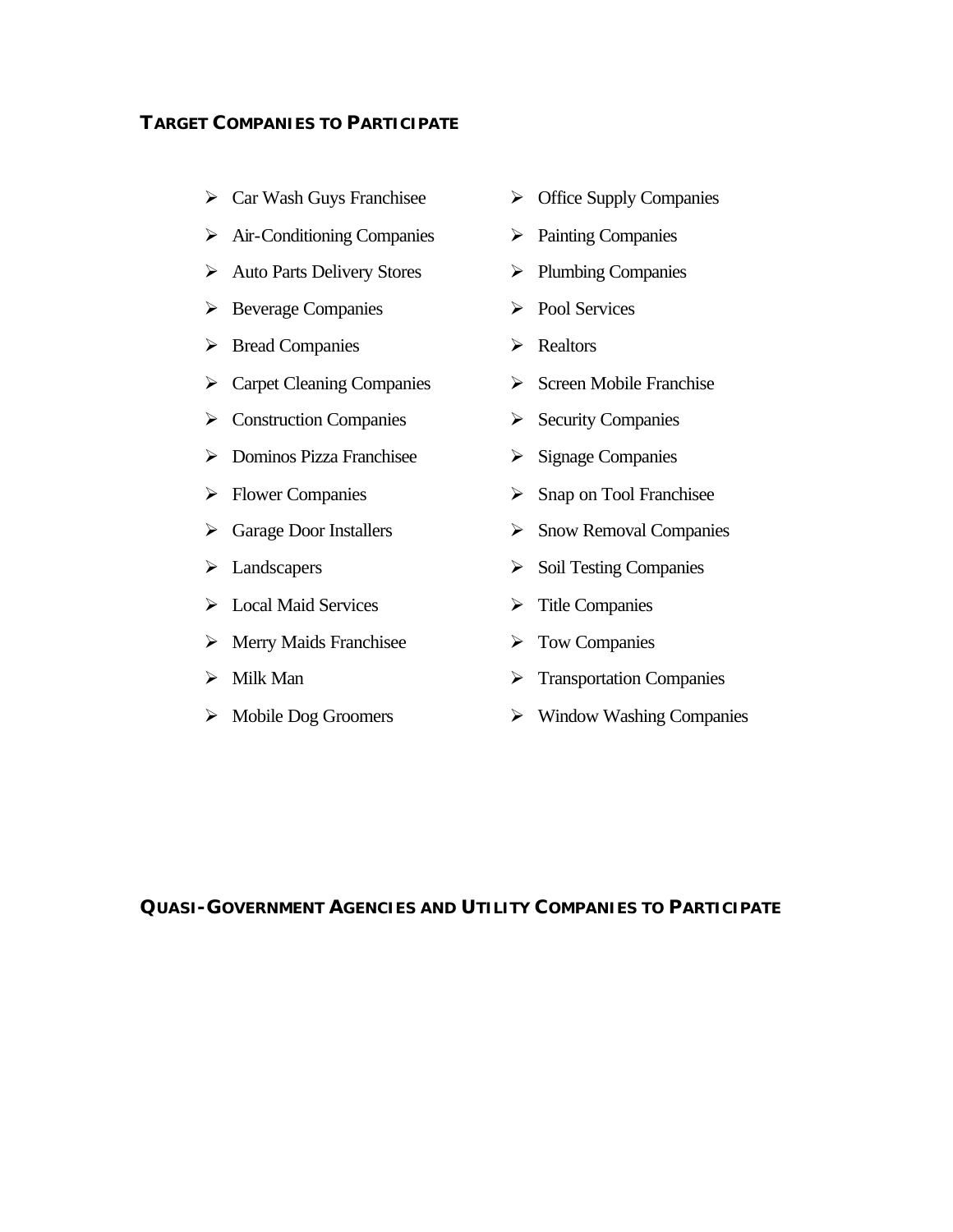#### **TARGET COMPANIES TO PARTICIPATE**

- $\triangleright$  Car Wash Guys Franchisee
- $\triangleright$  Air-Conditioning Companies
- $\triangleright$  Auto Parts Delivery Stores
- $\triangleright$  Beverage Companies
- $\triangleright$  Bread Companies
- $\triangleright$  Carpet Cleaning Companies
- $\triangleright$  Construction Companies
- $\triangleright$  Dominos Pizza Franchisee
- $\triangleright$  Flower Companies
- $\triangleright$  Garage Door Installers
- $\blacktriangleright$  Landscapers
- $\triangleright$  Local Maid Services
- $\triangleright$  Merry Maids Franchisee
- $\triangleright$  Milk Man
- $\triangleright$  Mobile Dog Groomers
- $\triangleright$  Office Supply Companies
- $\triangleright$  Painting Companies
- $\triangleright$  Plumbing Companies
- $\triangleright$  Pool Services
- $\triangleright$  Realtors
- $\triangleright$  Screen Mobile Franchise
- $\triangleright$  Security Companies
- $\triangleright$  Signage Companies
- $\triangleright$  Snap on Tool Franchisee
- $\triangleright$  Snow Removal Companies
- $\triangleright$  Soil Testing Companies
- $\triangleright$  Title Companies
- $\triangleright$  Tow Companies
- $\triangleright$  Transportation Companies
- $\triangleright$  Window Washing Companies

#### **QUASI-GOVERNMENT AGENCIES AND UTILITY COMPANIES TO PARTICIPATE**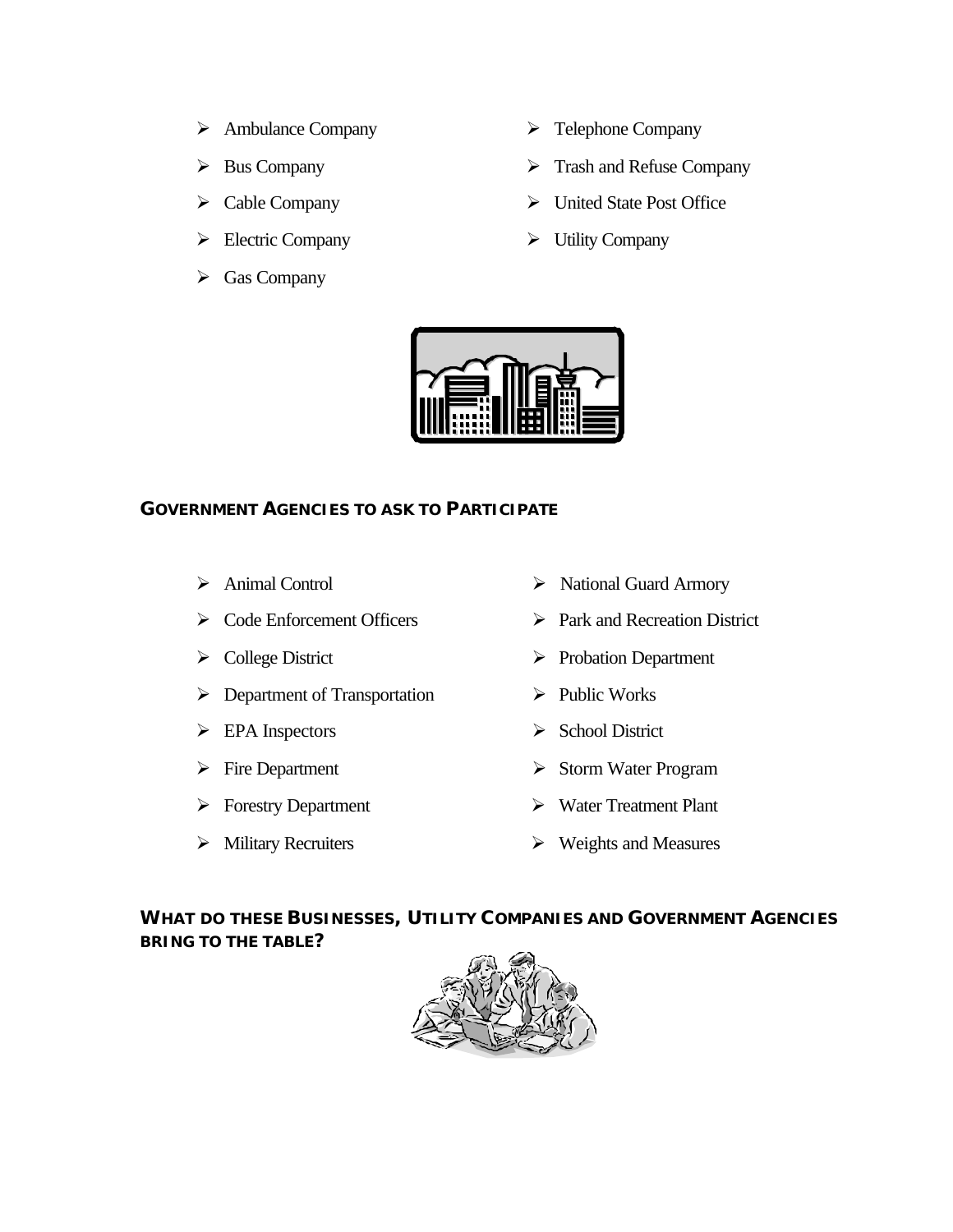- $\triangleright$  Ambulance Company
- $\triangleright$  Bus Company
- $\triangleright$  Cable Company
- $\blacktriangleright$  Electric Company
- $\triangleright$  Gas Company
- $\triangleright$  Telephone Company
- $\triangleright$  Trash and Refuse Company
- $\triangleright$  United State Post Office
- $\triangleright$  Utility Company



#### **GOVERNMENT AGENCIES TO ASK TO PARTICIPATE**

- $\triangleright$  Animal Control
- $\triangleright$  Code Enforcement Officers
- ÿ College District
- $\triangleright$  Department of Transportation
- $\triangleright$  EPA Inspectors
- $\triangleright$  Fire Department
- $\triangleright$  Forestry Department
- $\triangleright$  Military Recruiters
- ÿ National Guard Armory
- $\triangleright$  Park and Recreation District
- ÿ Probation Department
- $\triangleright$  Public Works
- $\triangleright$  School District
- $\triangleright$  Storm Water Program
- $\triangleright$  Water Treatment Plant
- $\triangleright$  Weights and Measures

**WHAT DO THESE BUSINESSES, UTILITY COMPANIES AND GOVERNMENT AGENCIES BRING TO THE TABLE?**

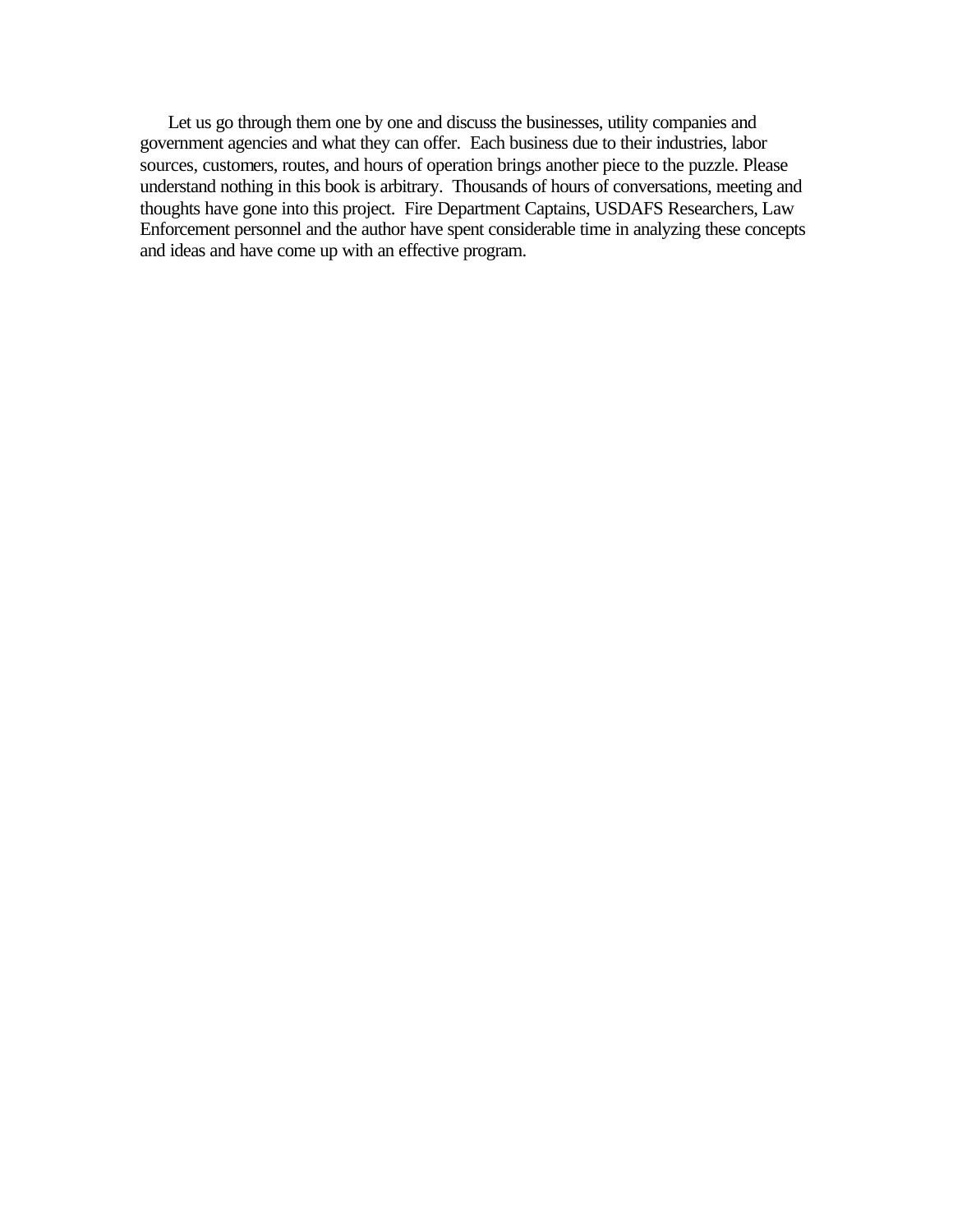Let us go through them one by one and discuss the businesses, utility companies and government agencies and what they can offer. Each business due to their industries, labor sources, customers, routes, and hours of operation brings another piece to the puzzle. Please understand nothing in this book is arbitrary. Thousands of hours of conversations, meeting and thoughts have gone into this project. Fire Department Captains, USDAFS Researchers, Law Enforcement personnel and the author have spent considerable time in analyzing these concepts and ideas and have come up with an effective program.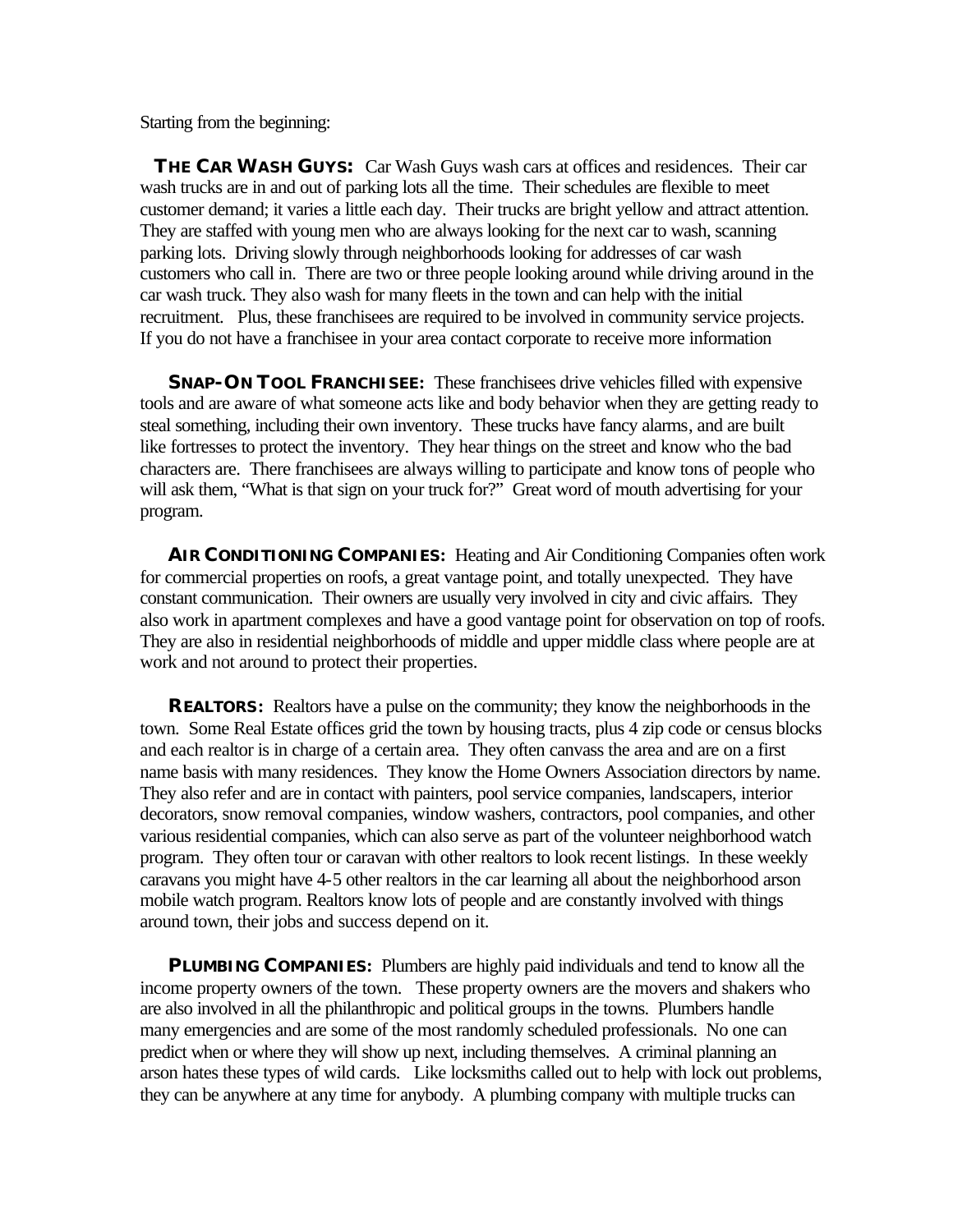Starting from the beginning:

 **THE CAR WASH GUYS:** Car Wash Guys wash cars at offices and residences. Their car wash trucks are in and out of parking lots all the time. Their schedules are flexible to meet customer demand; it varies a little each day. Their trucks are bright yellow and attract attention. They are staffed with young men who are always looking for the next car to wash, scanning parking lots. Driving slowly through neighborhoods looking for addresses of car wash customers who call in. There are two or three people looking around while driving around in the car wash truck. They also wash for many fleets in the town and can help with the initial recruitment. Plus, these franchisees are required to be involved in community service projects. If you do not have a franchisee in your area contact corporate to receive more information

**SNAP-ON TOOL FRANCHISEE:** These franchisees drive vehicles filled with expensive tools and are aware of what someone acts like and body behavior when they are getting ready to steal something, including their own inventory. These trucks have fancy alarms, and are built like fortresses to protect the inventory. They hear things on the street and know who the bad characters are. There franchisees are always willing to participate and know tons of people who will ask them, "What is that sign on your truck for?" Great word of mouth advertising for your program.

**AIR CONDITIONING COMPANIES:** Heating and Air Conditioning Companies often work for commercial properties on roofs, a great vantage point, and totally unexpected. They have constant communication. Their owners are usually very involved in city and civic affairs. They also work in apartment complexes and have a good vantage point for observation on top of roofs. They are also in residential neighborhoods of middle and upper middle class where people are at work and not around to protect their properties.

**REALTORS:** Realtors have a pulse on the community; they know the neighborhoods in the town. Some Real Estate offices grid the town by housing tracts, plus 4 zip code or census blocks and each realtor is in charge of a certain area. They often canvass the area and are on a first name basis with many residences. They know the Home Owners Association directors by name. They also refer and are in contact with painters, pool service companies, landscapers, interior decorators, snow removal companies, window washers, contractors, pool companies, and other various residential companies, which can also serve as part of the volunteer neighborhood watch program. They often tour or caravan with other realtors to look recent listings. In these weekly caravans you might have 4-5 other realtors in the car learning all about the neighborhood arson mobile watch program. Realtors know lots of people and are constantly involved with things around town, their jobs and success depend on it.

**PLUMBING COMPANIES:** Plumbers are highly paid individuals and tend to know all the income property owners of the town. These property owners are the movers and shakers who are also involved in all the philanthropic and political groups in the towns. Plumbers handle many emergencies and are some of the most randomly scheduled professionals. No one can predict when or where they will show up next, including themselves. A criminal planning an arson hates these types of wild cards. Like locksmiths called out to help with lock out problems, they can be anywhere at any time for anybody. A plumbing company with multiple trucks can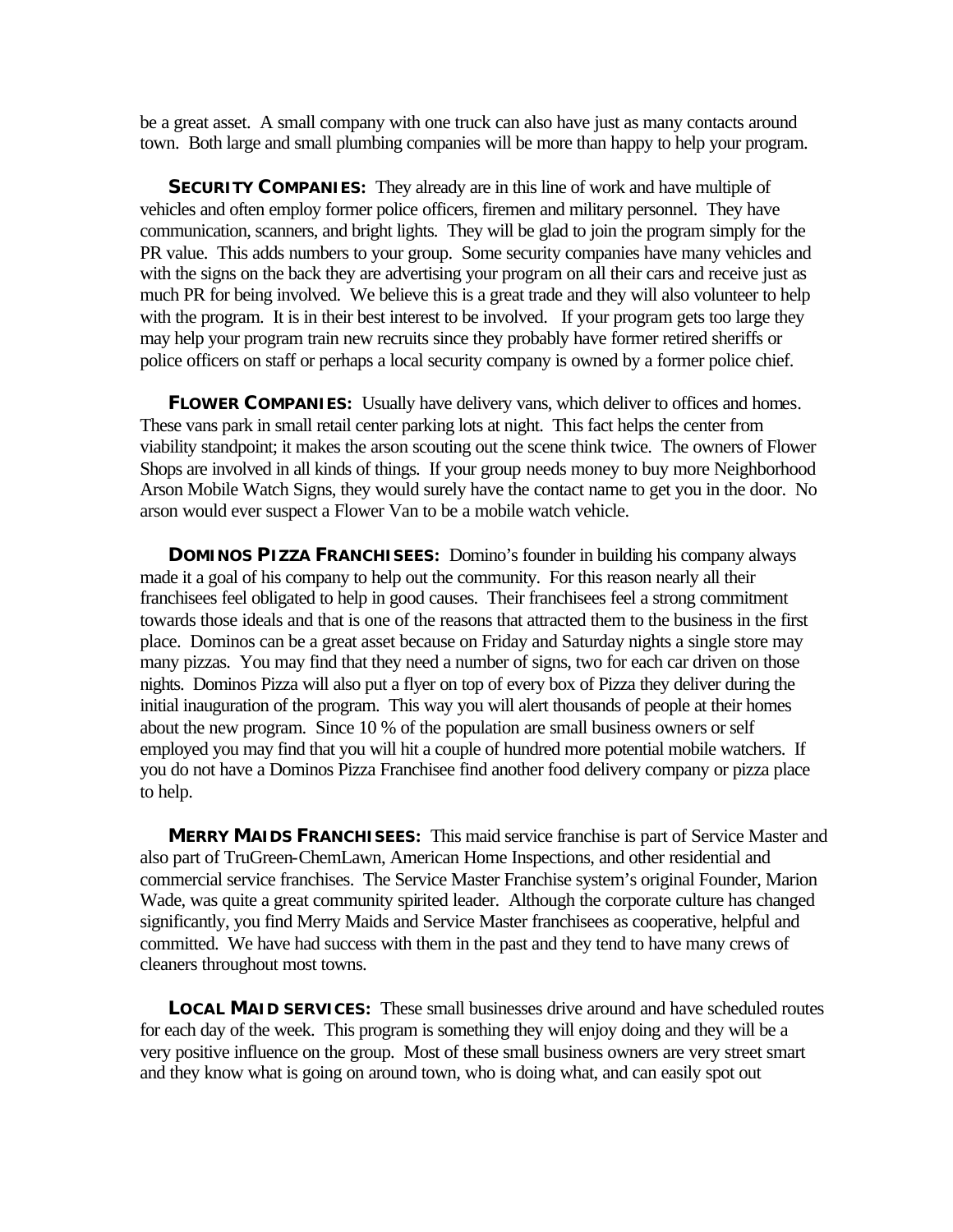be a great asset. A small company with one truck can also have just as many contacts around town. Both large and small plumbing companies will be more than happy to help your program.

**SECURITY COMPANIES:** They already are in this line of work and have multiple of vehicles and often employ former police officers, firemen and military personnel. They have communication, scanners, and bright lights. They will be glad to join the program simply for the PR value. This adds numbers to your group. Some security companies have many vehicles and with the signs on the back they are advertising your program on all their cars and receive just as much PR for being involved. We believe this is a great trade and they will also volunteer to help with the program. It is in their best interest to be involved. If your program gets too large they may help your program train new recruits since they probably have former retired sheriffs or police officers on staff or perhaps a local security company is owned by a former police chief.

**FLOWER COMPANIES:** Usually have delivery vans, which deliver to offices and homes. These vans park in small retail center parking lots at night. This fact helps the center from viability standpoint; it makes the arson scouting out the scene think twice. The owners of Flower Shops are involved in all kinds of things. If your group needs money to buy more Neighborhood Arson Mobile Watch Signs, they would surely have the contact name to get you in the door. No arson would ever suspect a Flower Van to be a mobile watch vehicle.

**DOMINOS PIZZA FRANCHISEES:** Domino's founder in building his company always made it a goal of his company to help out the community. For this reason nearly all their franchisees feel obligated to help in good causes. Their franchisees feel a strong commitment towards those ideals and that is one of the reasons that attracted them to the business in the first place. Dominos can be a great asset because on Friday and Saturday nights a single store may many pizzas. You may find that they need a number of signs, two for each car driven on those nights. Dominos Pizza will also put a flyer on top of every box of Pizza they deliver during the initial inauguration of the program. This way you will alert thousands of people at their homes about the new program. Since 10 % of the population are small business owners or self employed you may find that you will hit a couple of hundred more potential mobile watchers. If you do not have a Dominos Pizza Franchisee find another food delivery company or pizza place to help.

**MERRY MAIDS FRANCHISEES:** This maid service franchise is part of Service Master and also part of TruGreen-ChemLawn, American Home Inspections, and other residential and commercial service franchises. The Service Master Franchise system's original Founder, Marion Wade, was quite a great community spirited leader. Although the corporate culture has changed significantly, you find Merry Maids and Service Master franchisees as cooperative, helpful and committed. We have had success with them in the past and they tend to have many crews of cleaners throughout most towns.

**LOCAL MAID SERVICES:** These small businesses drive around and have scheduled routes for each day of the week. This program is something they will enjoy doing and they will be a very positive influence on the group. Most of these small business owners are very street smart and they know what is going on around town, who is doing what, and can easily spot out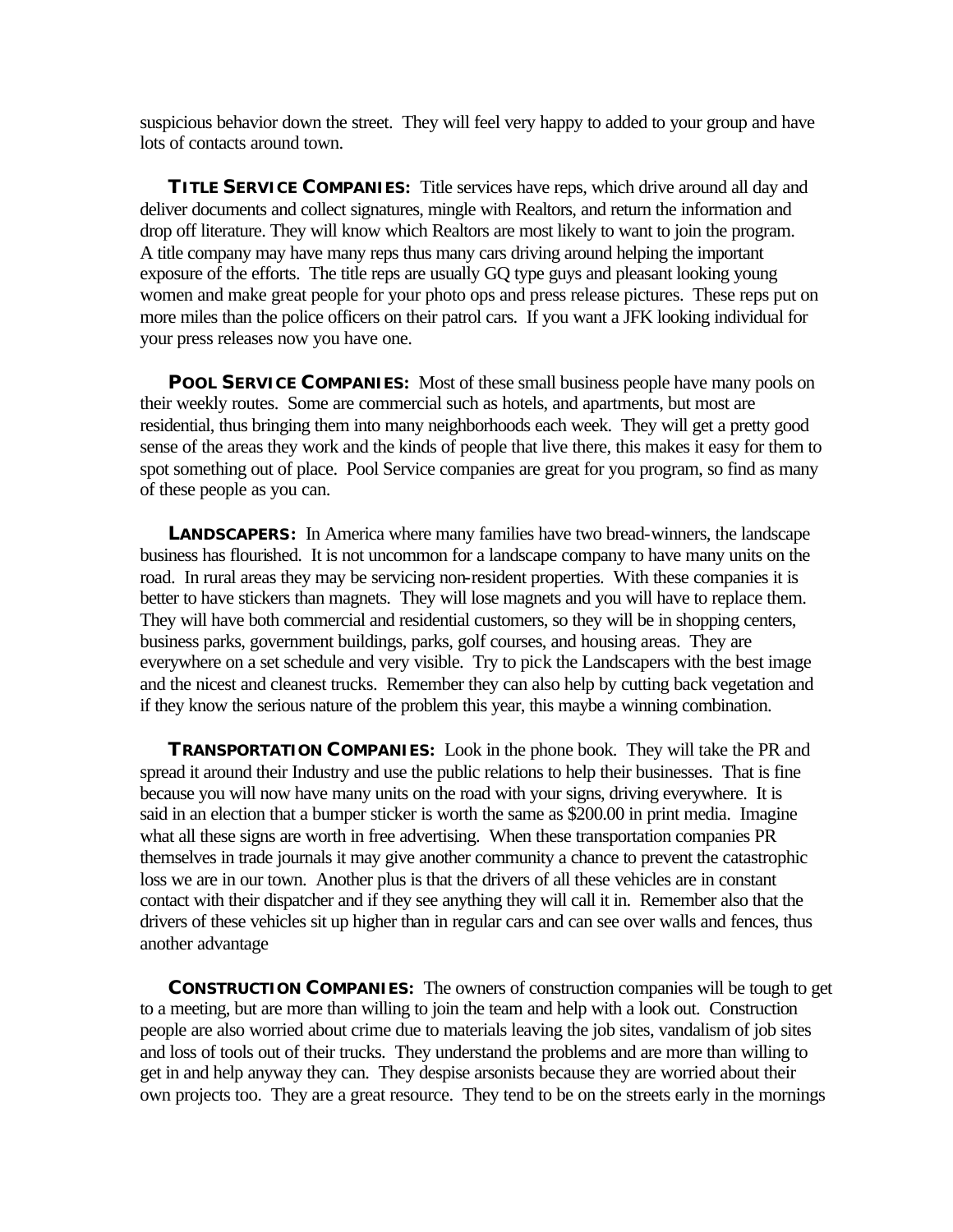suspicious behavior down the street. They will feel very happy to added to your group and have lots of contacts around town.

**TITLE SERVICE COMPANIES:** Title services have reps, which drive around all day and deliver documents and collect signatures, mingle with Realtors, and return the information and drop off literature. They will know which Realtors are most likely to want to join the program. A title company may have many reps thus many cars driving around helping the important exposure of the efforts. The title reps are usually GQ type guys and pleasant looking young women and make great people for your photo ops and press release pictures. These reps put on more miles than the police officers on their patrol cars. If you want a JFK looking individual for your press releases now you have one.

**POOL SERVICE COMPANIES:** Most of these small business people have many pools on their weekly routes. Some are commercial such as hotels, and apartments, but most are residential, thus bringing them into many neighborhoods each week. They will get a pretty good sense of the areas they work and the kinds of people that live there, this makes it easy for them to spot something out of place. Pool Service companies are great for you program, so find as many of these people as you can.

**LANDSCAPERS:** In America where many families have two bread-winners, the landscape business has flourished. It is not uncommon for a landscape company to have many units on the road. In rural areas they may be servicing non-resident properties. With these companies it is better to have stickers than magnets. They will lose magnets and you will have to replace them. They will have both commercial and residential customers, so they will be in shopping centers, business parks, government buildings, parks, golf courses, and housing areas. They are everywhere on a set schedule and very visible. Try to pick the Landscapers with the best image and the nicest and cleanest trucks. Remember they can also help by cutting back vegetation and if they know the serious nature of the problem this year, this maybe a winning combination.

**TRANSPORTATION COMPANIES:** Look in the phone book. They will take the PR and spread it around their Industry and use the public relations to help their businesses. That is fine because you will now have many units on the road with your signs, driving everywhere. It is said in an election that a bumper sticker is worth the same as \$200.00 in print media. Imagine what all these signs are worth in free advertising. When these transportation companies PR themselves in trade journals it may give another community a chance to prevent the catastrophic loss we are in our town. Another plus is that the drivers of all these vehicles are in constant contact with their dispatcher and if they see anything they will call it in. Remember also that the drivers of these vehicles sit up higher than in regular cars and can see over walls and fences, thus another advantage

**CONSTRUCTION COMPANIES:** The owners of construction companies will be tough to get to a meeting, but are more than willing to join the team and help with a look out. Construction people are also worried about crime due to materials leaving the job sites, vandalism of job sites and loss of tools out of their trucks. They understand the problems and are more than willing to get in and help anyway they can. They despise arsonists because they are worried about their own projects too. They are a great resource. They tend to be on the streets early in the mornings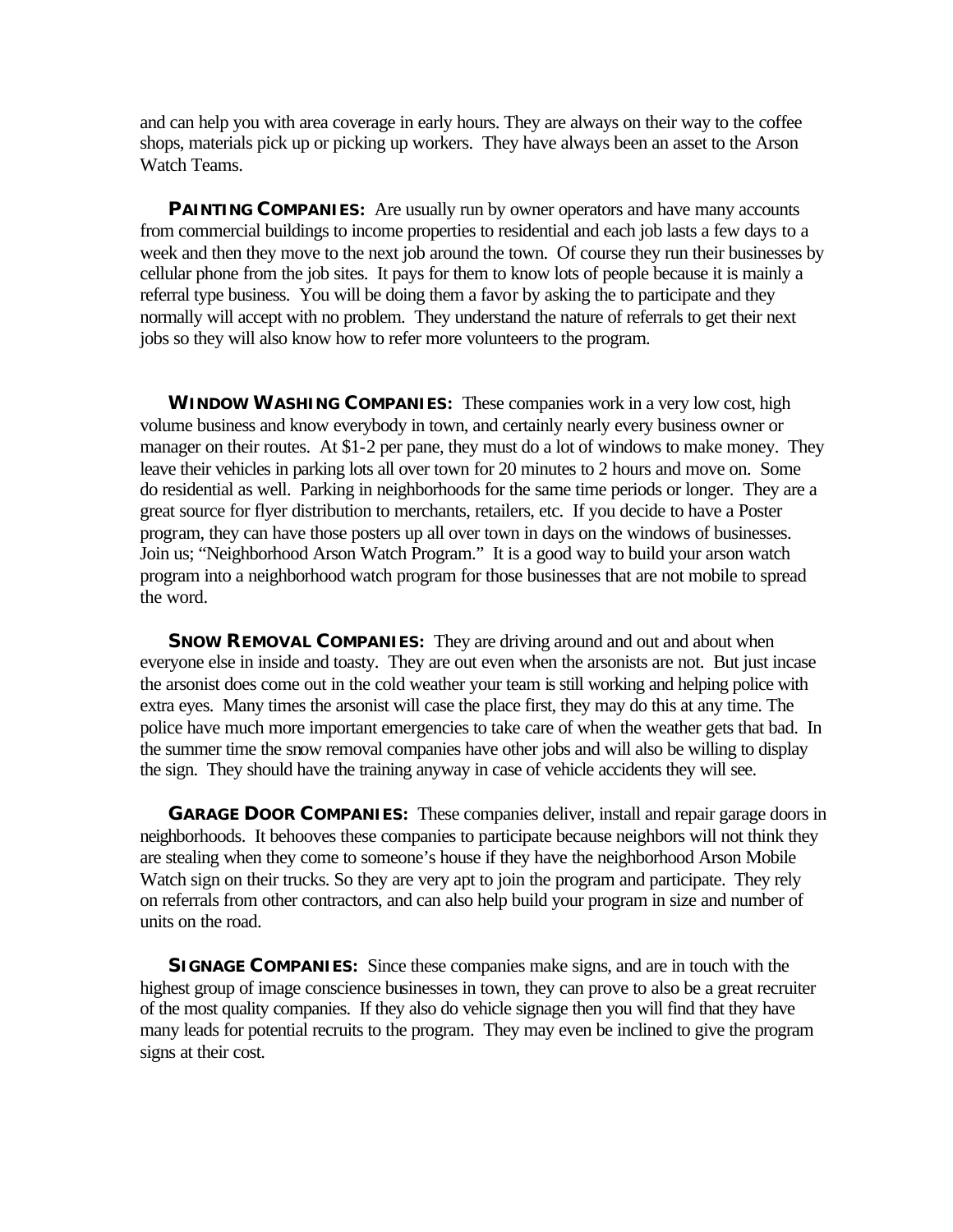and can help you with area coverage in early hours. They are always on their way to the coffee shops, materials pick up or picking up workers. They have always been an asset to the Arson Watch Teams.

**PAINTING COMPANIES:** Are usually run by owner operators and have many accounts from commercial buildings to income properties to residential and each job lasts a few days to a week and then they move to the next job around the town. Of course they run their businesses by cellular phone from the job sites. It pays for them to know lots of people because it is mainly a referral type business. You will be doing them a favor by asking the to participate and they normally will accept with no problem. They understand the nature of referrals to get their next jobs so they will also know how to refer more volunteers to the program.

**WINDOW WASHING COMPANIES:** These companies work in a very low cost, high volume business and know everybody in town, and certainly nearly every business owner or manager on their routes. At \$1-2 per pane, they must do a lot of windows to make money. They leave their vehicles in parking lots all over town for 20 minutes to 2 hours and move on. Some do residential as well. Parking in neighborhoods for the same time periods or longer. They are a great source for flyer distribution to merchants, retailers, etc. If you decide to have a Poster program, they can have those posters up all over town in days on the windows of businesses. Join us; "Neighborhood Arson Watch Program." It is a good way to build your arson watch program into a neighborhood watch program for those businesses that are not mobile to spread the word.

**SNOW REMOVAL COMPANIES:** They are driving around and out and about when everyone else in inside and toasty. They are out even when the arsonists are not. But just incase the arsonist does come out in the cold weather your team is still working and helping police with extra eyes. Many times the arsonist will case the place first, they may do this at any time. The police have much more important emergencies to take care of when the weather gets that bad. In the summer time the snow removal companies have other jobs and will also be willing to display the sign. They should have the training anyway in case of vehicle accidents they will see.

**GARAGE DOOR COMPANIES:** These companies deliver, install and repair garage doors in neighborhoods. It behooves these companies to participate because neighbors will not think they are stealing when they come to someone's house if they have the neighborhood Arson Mobile Watch sign on their trucks. So they are very apt to join the program and participate. They rely on referrals from other contractors, and can also help build your program in size and number of units on the road.

**SIGNAGE COMPANIES:** Since these companies make signs, and are in touch with the highest group of image conscience businesses in town, they can prove to also be a great recruiter of the most quality companies. If they also do vehicle signage then you will find that they have many leads for potential recruits to the program. They may even be inclined to give the program signs at their cost.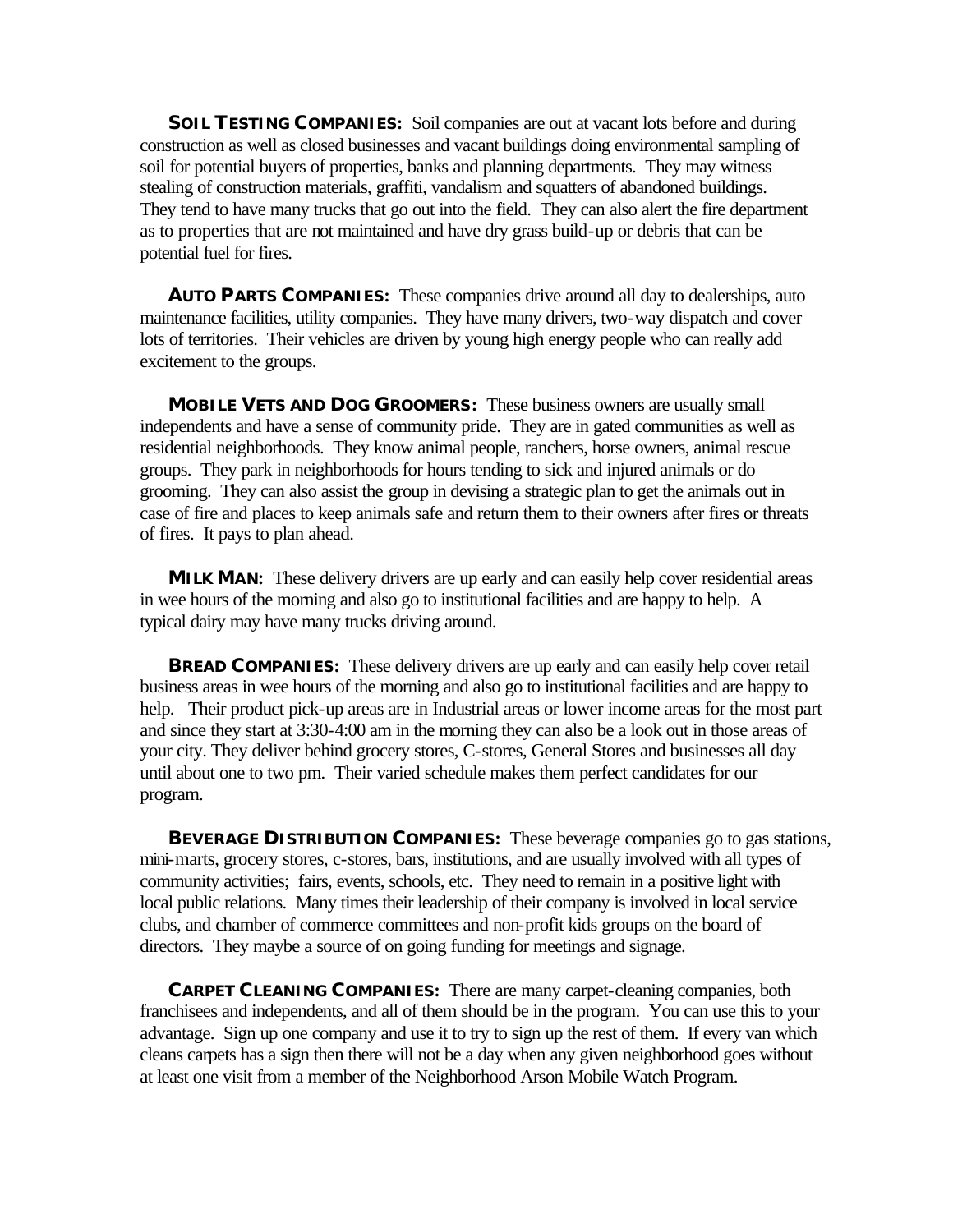**SOIL TESTING COMPANIES:** Soil companies are out at vacant lots before and during construction as well as closed businesses and vacant buildings doing environmental sampling of soil for potential buyers of properties, banks and planning departments. They may witness stealing of construction materials, graffiti, vandalism and squatters of abandoned buildings. They tend to have many trucks that go out into the field. They can also alert the fire department as to properties that are not maintained and have dry grass build-up or debris that can be potential fuel for fires.

**AUTO PARTS COMPANIES:** These companies drive around all day to dealerships, auto maintenance facilities, utility companies. They have many drivers, two-way dispatch and cover lots of territories. Their vehicles are driven by young high energy people who can really add excitement to the groups.

**MOBILE VETS AND DOG GROOMERS:** These business owners are usually small independents and have a sense of community pride. They are in gated communities as well as residential neighborhoods. They know animal people, ranchers, horse owners, animal rescue groups. They park in neighborhoods for hours tending to sick and injured animals or do grooming. They can also assist the group in devising a strategic plan to get the animals out in case of fire and places to keep animals safe and return them to their owners after fires or threats of fires. It pays to plan ahead.

**MILK MAN:** These delivery drivers are up early and can easily help cover residential areas in wee hours of the morning and also go to institutional facilities and are happy to help. A typical dairy may have many trucks driving around.

**BREAD COMPANIES:** These delivery drivers are up early and can easily help cover retail business areas in wee hours of the morning and also go to institutional facilities and are happy to help. Their product pick-up areas are in Industrial areas or lower income areas for the most part and since they start at 3:30-4:00 am in the morning they can also be a look out in those areas of your city. They deliver behind grocery stores, C-stores, General Stores and businesses all day until about one to two pm. Their varied schedule makes them perfect candidates for our program.

**BEVERAGE DISTRIBUTION COMPANIES:** These beverage companies go to gas stations, mini-marts, grocery stores, c-stores, bars, institutions, and are usually involved with all types of community activities; fairs, events, schools, etc. They need to remain in a positive light with local public relations. Many times their leadership of their company is involved in local service clubs, and chamber of commerce committees and non-profit kids groups on the board of directors. They maybe a source of on going funding for meetings and signage.

**CARPET CLEANING COMPANIES:** There are many carpet-cleaning companies, both franchisees and independents, and all of them should be in the program. You can use this to your advantage. Sign up one company and use it to try to sign up the rest of them. If every van which cleans carpets has a sign then there will not be a day when any given neighborhood goes without at least one visit from a member of the Neighborhood Arson Mobile Watch Program.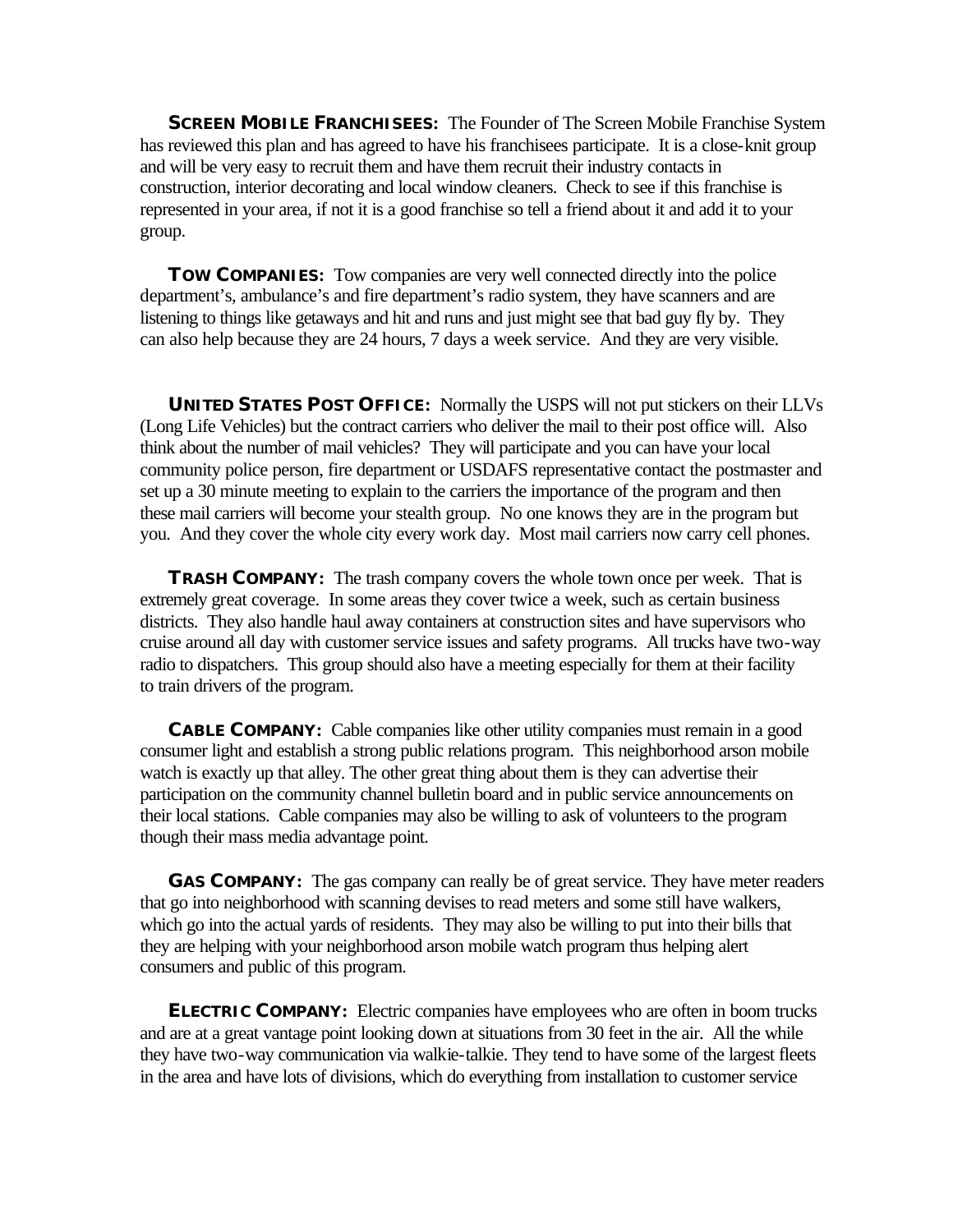**SCREEN MOBILE FRANCHISEES:** The Founder of The Screen Mobile Franchise System has reviewed this plan and has agreed to have his franchisees participate. It is a close-knit group and will be very easy to recruit them and have them recruit their industry contacts in construction, interior decorating and local window cleaners. Check to see if this franchise is represented in your area, if not it is a good franchise so tell a friend about it and add it to your group.

**TOW COMPANIES:** Tow companies are very well connected directly into the police department's, ambulance's and fire department's radio system, they have scanners and are listening to things like getaways and hit and runs and just might see that bad guy fly by. They can also help because they are 24 hours, 7 days a week service. And they are very visible.

**UNITED STATES POST OFFICE:** Normally the USPS will not put stickers on their LLVs (Long Life Vehicles) but the contract carriers who deliver the mail to their post office will. Also think about the number of mail vehicles? They will participate and you can have your local community police person, fire department or USDAFS representative contact the postmaster and set up a 30 minute meeting to explain to the carriers the importance of the program and then these mail carriers will become your stealth group. No one knows they are in the program but you. And they cover the whole city every work day. Most mail carriers now carry cell phones.

**TRASH COMPANY:** The trash company covers the whole town once per week. That is extremely great coverage. In some areas they cover twice a week, such as certain business districts. They also handle haul away containers at construction sites and have supervisors who cruise around all day with customer service issues and safety programs. All trucks have two-way radio to dispatchers. This group should also have a meeting especially for them at their facility to train drivers of the program.

**CABLE COMPANY:** Cable companies like other utility companies must remain in a good consumer light and establish a strong public relations program. This neighborhood arson mobile watch is exactly up that alley. The other great thing about them is they can advertise their participation on the community channel bulletin board and in public service announcements on their local stations. Cable companies may also be willing to ask of volunteers to the program though their mass media advantage point.

**GAS COMPANY:** The gas company can really be of great service. They have meter readers that go into neighborhood with scanning devises to read meters and some still have walkers, which go into the actual yards of residents. They may also be willing to put into their bills that they are helping with your neighborhood arson mobile watch program thus helping alert consumers and public of this program.

**ELECTRIC COMPANY:** Electric companies have employees who are often in boom trucks and are at a great vantage point looking down at situations from 30 feet in the air. All the while they have two-way communication via walkie-talkie. They tend to have some of the largest fleets in the area and have lots of divisions, which do everything from installation to customer service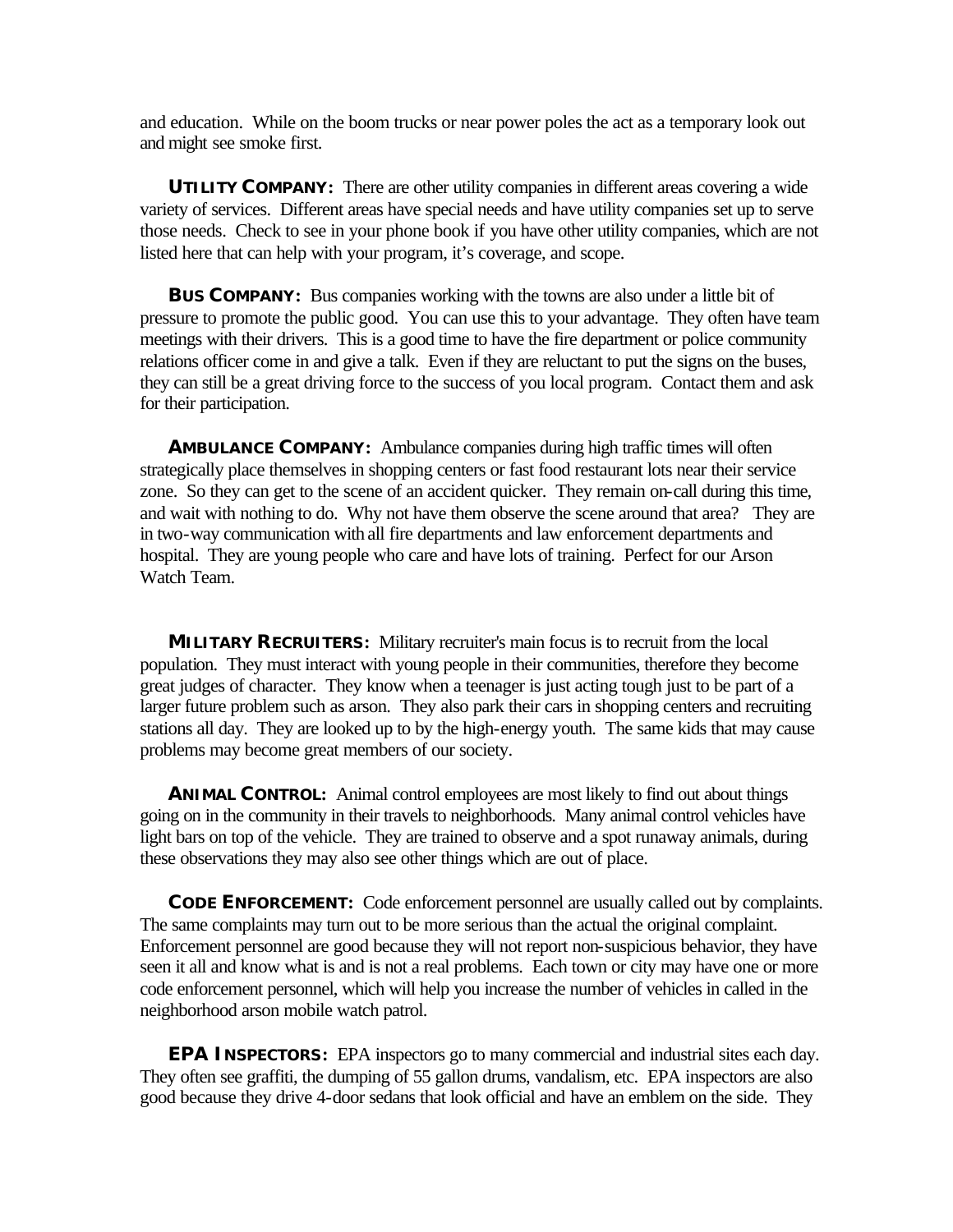and education. While on the boom trucks or near power poles the act as a temporary look out and might see smoke first.

**UTILITY COMPANY:** There are other utility companies in different areas covering a wide variety of services. Different areas have special needs and have utility companies set up to serve those needs. Check to see in your phone book if you have other utility companies, which are not listed here that can help with your program, it's coverage, and scope.

**BUS COMPANY:** Bus companies working with the towns are also under a little bit of pressure to promote the public good. You can use this to your advantage. They often have team meetings with their drivers. This is a good time to have the fire department or police community relations officer come in and give a talk. Even if they are reluctant to put the signs on the buses, they can still be a great driving force to the success of you local program. Contact them and ask for their participation.

**AMBULANCE COMPANY:** Ambulance companies during high traffic times will often strategically place themselves in shopping centers or fast food restaurant lots near their service zone. So they can get to the scene of an accident quicker. They remain on-call during this time, and wait with nothing to do. Why not have them observe the scene around that area? They are in two-way communication with all fire departments and law enforcement departments and hospital. They are young people who care and have lots of training. Perfect for our Arson Watch Team.

**MILITARY RECRUITERS:** Military recruiter's main focus is to recruit from the local population. They must interact with young people in their communities, therefore they become great judges of character. They know when a teenager is just acting tough just to be part of a larger future problem such as arson. They also park their cars in shopping centers and recruiting stations all day. They are looked up to by the high-energy youth. The same kids that may cause problems may become great members of our society.

**ANIMAL CONTROL:** Animal control employees are most likely to find out about things going on in the community in their travels to neighborhoods. Many animal control vehicles have light bars on top of the vehicle. They are trained to observe and a spot runaway animals, during these observations they may also see other things which are out of place.

**CODE ENFORCEMENT:** Code enforcement personnel are usually called out by complaints. The same complaints may turn out to be more serious than the actual the original complaint. Enforcement personnel are good because they will not report non-suspicious behavior, they have seen it all and know what is and is not a real problems. Each town or city may have one or more code enforcement personnel, which will help you increase the number of vehicles in called in the neighborhood arson mobile watch patrol.

**EPA INSPECTORS:** EPA inspectors go to many commercial and industrial sites each day. They often see graffiti, the dumping of 55 gallon drums, vandalism, etc. EPA inspectors are also good because they drive 4-door sedans that look official and have an emblem on the side. They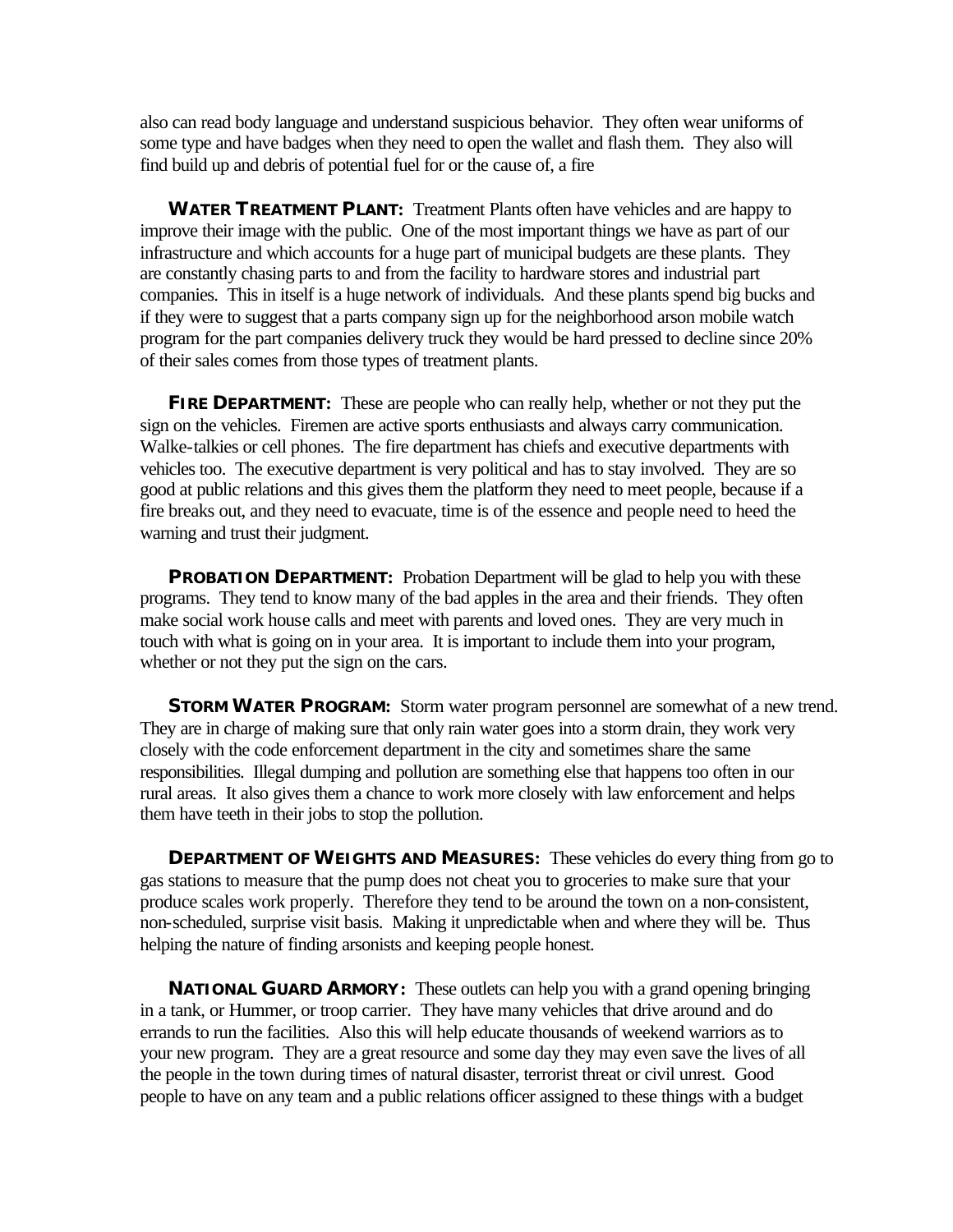also can read body language and understand suspicious behavior. They often wear uniforms of some type and have badges when they need to open the wallet and flash them. They also will find build up and debris of potential fuel for or the cause of, a fire

**WATER TREATMENT PLANT:** Treatment Plants often have vehicles and are happy to improve their image with the public. One of the most important things we have as part of our infrastructure and which accounts for a huge part of municipal budgets are these plants. They are constantly chasing parts to and from the facility to hardware stores and industrial part companies. This in itself is a huge network of individuals. And these plants spend big bucks and if they were to suggest that a parts company sign up for the neighborhood arson mobile watch program for the part companies delivery truck they would be hard pressed to decline since 20% of their sales comes from those types of treatment plants.

**FIRE DEPARTMENT:** These are people who can really help, whether or not they put the sign on the vehicles. Firemen are active sports enthusiasts and always carry communication. Walke-talkies or cell phones. The fire department has chiefs and executive departments with vehicles too. The executive department is very political and has to stay involved. They are so good at public relations and this gives them the platform they need to meet people, because if a fire breaks out, and they need to evacuate, time is of the essence and people need to heed the warning and trust their judgment.

**PROBATION DEPARTMENT:** Probation Department will be glad to help you with these programs. They tend to know many of the bad apples in the area and their friends. They often make social work house calls and meet with parents and loved ones. They are very much in touch with what is going on in your area. It is important to include them into your program, whether or not they put the sign on the cars.

**STORM WATER PROGRAM:** Storm water program personnel are somewhat of a new trend. They are in charge of making sure that only rain water goes into a storm drain, they work very closely with the code enforcement department in the city and sometimes share the same responsibilities. Illegal dumping and pollution are something else that happens too often in our rural areas. It also gives them a chance to work more closely with law enforcement and helps them have teeth in their jobs to stop the pollution.

**DEPARTMENT OF WEIGHTS AND MEASURES:** These vehicles do every thing from go to gas stations to measure that the pump does not cheat you to groceries to make sure that your produce scales work properly. Therefore they tend to be around the town on a non-consistent, non-scheduled, surprise visit basis. Making it unpredictable when and where they will be. Thus helping the nature of finding arsonists and keeping people honest.

**NATIONAL GUARD ARMORY:** These outlets can help you with a grand opening bringing in a tank, or Hummer, or troop carrier. They have many vehicles that drive around and do errands to run the facilities. Also this will help educate thousands of weekend warriors as to your new program. They are a great resource and some day they may even save the lives of all the people in the town during times of natural disaster, terrorist threat or civil unrest. Good people to have on any team and a public relations officer assigned to these things with a budget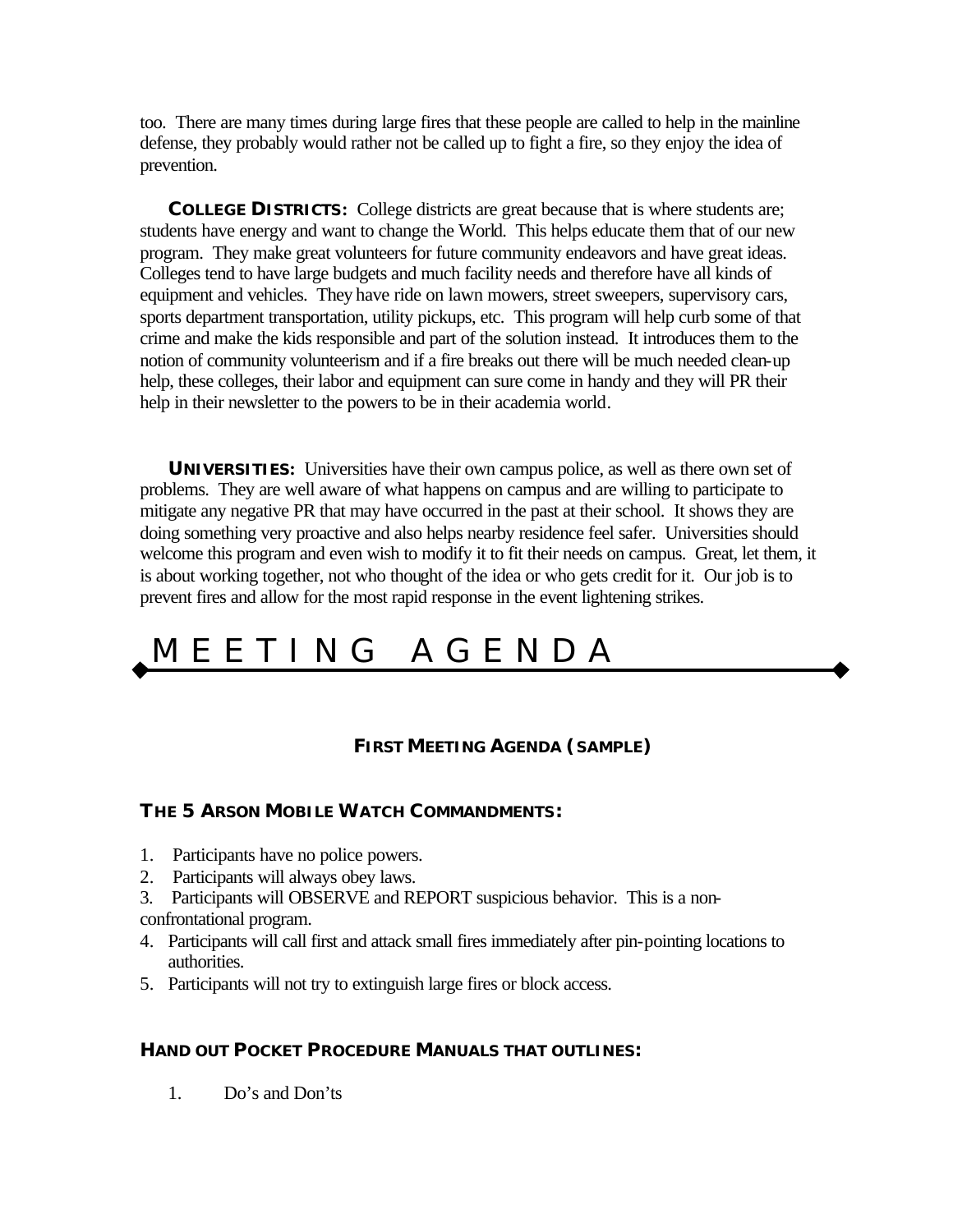too. There are many times during large fires that these people are called to help in the mainline defense, they probably would rather not be called up to fight a fire, so they enjoy the idea of prevention.

**COLLEGE DISTRICTS:** College districts are great because that is where students are; students have energy and want to change the World. This helps educate them that of our new program. They make great volunteers for future community endeavors and have great ideas. Colleges tend to have large budgets and much facility needs and therefore have all kinds of equipment and vehicles. They have ride on lawn mowers, street sweepers, supervisory cars, sports department transportation, utility pickups, etc. This program will help curb some of that crime and make the kids responsible and part of the solution instead. It introduces them to the notion of community volunteerism and if a fire breaks out there will be much needed clean-up help, these colleges, their labor and equipment can sure come in handy and they will PR their help in their newsletter to the powers to be in their academia world.

**UNIVERSITIES:** Universities have their own campus police, as well as there own set of problems. They are well aware of what happens on campus and are willing to participate to mitigate any negative PR that may have occurred in the past at their school. It shows they are doing something very proactive and also helps nearby residence feel safer. Universities should welcome this program and even wish to modify it to fit their needs on campus. Great, let them, it is about working together, not who thought of the idea or who gets credit for it. Our job is to prevent fires and allow for the most rapid response in the event lightening strikes.

## M E E T I N G A G E N D A

#### **FIRST MEETING AGENDA (SAMPLE)**

#### **THE 5 ARSON MOBILE WATCH COMMANDMENTS:**

- 1. Participants have no police powers.
- 2. Participants will always obey laws.
- 3. Participants will OBSERVE and REPORT suspicious behavior. This is a non-

confrontational program.

- 4. Participants will call first and attack small fires immediately after pin-pointing locations to authorities.
- 5. Participants will not try to extinguish large fires or block access.

#### **HAND OUT POCKET PROCEDURE MANUALS THAT OUTLINES:**

1. Do's and Don'ts